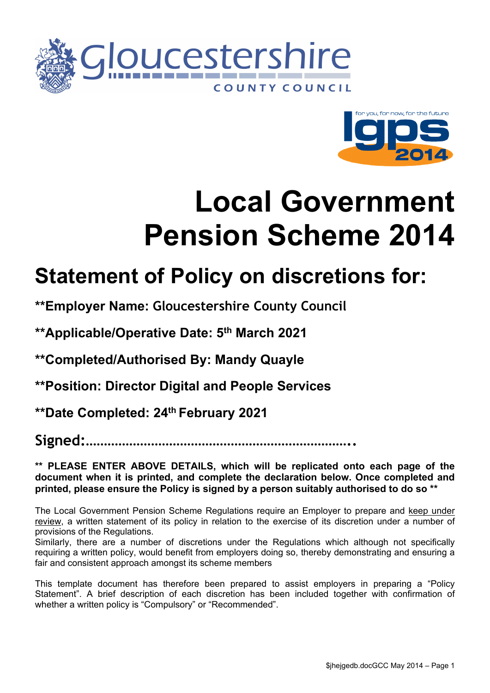



# <span id="page-0-1"></span><span id="page-0-0"></span>**Local Government Pension Scheme 2014**

# **Statement of Policy on discretions for:**

**\*\*Employer Name: Gloucestershire County Council**

**\*\*Applicable/Operative Date: 5 th March 2021**

<span id="page-0-2"></span>**\*\*Completed/Authorised By: Mandy Quayle**

<span id="page-0-3"></span>**\*\*Position: Director Digital and People Services**

<span id="page-0-4"></span>**\*\*Date Completed: 24th February 2021**

**Signed:………………………………………………………………..**

**\*\* PLEASE ENTER ABOVE DETAILS, which will be replicated onto each page of the document when it is printed, and complete the declaration below. Once completed and printed, please ensure the Policy is signed by a person suitably authorised to do so \*\***

The Local Government Pension Scheme Regulations require an Employer to prepare and keep under review, a written statement of its policy in relation to the exercise of its discretion under a number of provisions of the Regulations.

Similarly, there are a number of discretions under the Regulations which although not specifically requiring a written policy, would benefit from employers doing so, thereby demonstrating and ensuring a fair and consistent approach amongst its scheme members

This template document has therefore been prepared to assist employers in preparing a "Policy Statement". A brief description of each discretion has been included together with confirmation of whether a written policy is "Compulsory" or "Recommended".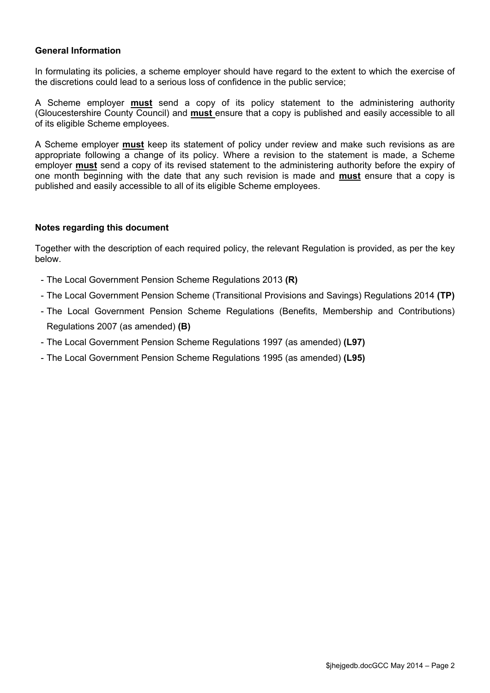#### **General Information**

In formulating its policies, a scheme employer should have regard to the extent to which the exercise of the discretions could lead to a serious loss of confidence in the public service;

A Scheme employer **must** send a copy of its policy statement to the administering authority (Gloucestershire County Council) and **must** ensure that a copy is published and easily accessible to all of its eligible Scheme employees.

A Scheme employer **must** keep its statement of policy under review and make such revisions as are appropriate following a change of its policy. Where a revision to the statement is made, a Scheme employer **must** send a copy of its revised statement to the administering authority before the expiry of one month beginning with the date that any such revision is made and **must** ensure that a copy is published and easily accessible to all of its eligible Scheme employees.

#### **Notes regarding this document**

Together with the description of each required policy, the relevant Regulation is provided, as per the key below.

- The Local Government Pension Scheme Regulations 2013 **(R)**
- The Local Government Pension Scheme (Transitional Provisions and Savings) Regulations 2014 **(TP)**
- The Local Government Pension Scheme Regulations (Benefits, Membership and Contributions) Regulations 2007 (as amended) **(B)**
- The Local Government Pension Scheme Regulations 1997 (as amended) **(L97)**
- The Local Government Pension Scheme Regulations 1995 (as amended) **(L95)**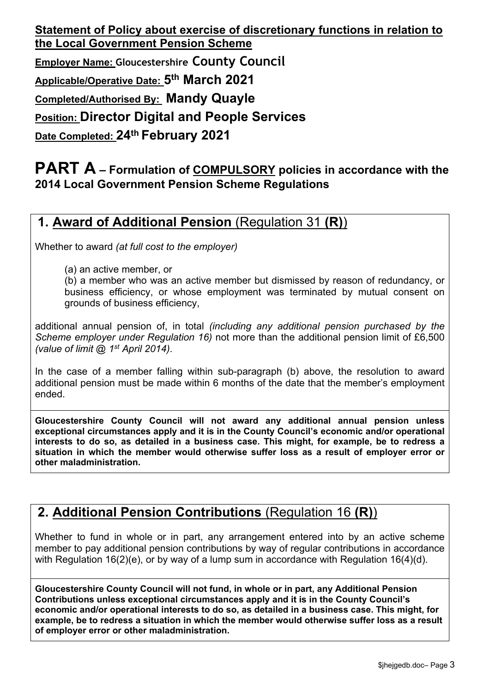**Employer Name: [Gloucestershire](#page-0-0) County Council**

**Applicable/Operative Date: 5 th [March](#page-0-1) 2021**

**Completed/Authorised By: Mandy [Quayle](#page-0-2)**

**Position: Director Digital and People [Services](#page-0-3)**

**Date Completed: 24th [February](#page-0-4) 2021**

#### **PART A – Formulation of COMPULSORY policies in accordance with the 2014 Local Government Pension Scheme Regulations**

# **1. Award of Additional Pension** (Regulation 31 **(R)**)

Whether to award *(at full cost to the employer)*

(a) an active member, or

(b) a member who was an active member but dismissed by reason of redundancy, or business efficiency, or whose employment was terminated by mutual consent on grounds of business efficiency,

additional annual pension of, in total *(including any additional pension purchased by the Scheme employer under Regulation 16)* not more than the additional pension limit of £6,500 *(value of limit @ 1 st April 2014)*.

In the case of a member falling within sub-paragraph (b) above, the resolution to award additional pension must be made within 6 months of the date that the member's employment ended.

**Gloucestershire County Council will not award any additional annual pension unless exceptional circumstances apply and it is in the County Council's economic and/or operational interests to do so, as detailed in a business case. This might, for example, be to redress a situation in which the member would otherwise suffer loss as a result of employer error or other maladministration.**

# **2. Additional Pension Contributions** (Regulation 16 **(R)**)

Whether to fund in whole or in part, any arrangement entered into by an active scheme member to pay additional pension contributions by way of regular contributions in accordance with Regulation 16(2)(e), or by way of a lump sum in accordance with Regulation 16(4)(d).

**Gloucestershire County Council will not fund, in whole or in part, any Additional Pension Contributions unless exceptional circumstances apply and it is in the County Council's economic and/or operational interests to do so, as detailed in a business case. This might, for example, be to redress a situation in which the member would otherwise suffer loss as a result of employer error or other maladministration.**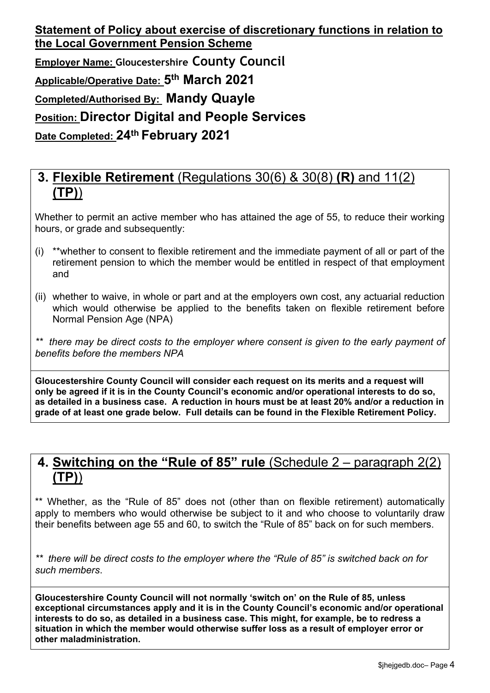#### **3. Flexible Retirement** (Regulations 30(6) & 30(8) **(R)** and 11(2) **(TP)**)

Whether to permit an active member who has attained the age of 55, to reduce their working hours, or grade and subsequently:

- (i) \*\*whether to consent to flexible retirement and the immediate payment of all or part of the retirement pension to which the member would be entitled in respect of that employment and
- (ii) whether to waive, in whole or part and at the employers own cost, any actuarial reduction which would otherwise be applied to the benefits taken on flexible retirement before Normal Pension Age (NPA)

*\*\* there may be direct costs to the employer where consent is given to the early payment of benefits before the members NPA*

**Gloucestershire County Council will consider each request on its merits and a request will only be agreed if it is in the County Council's economic and/or operational interests to do so, as detailed in a business case. A reduction in hours must be at least 20% and/or a reduction in grade of at least one grade below. Full details can be found in the Flexible Retirement Policy.** 

#### **4. Switching on the "Rule of 85" rule** (Schedule 2 – paragraph 2(2) **(TP)**)

\*\* Whether, as the "Rule of 85" does not (other than on flexible retirement) automatically apply to members who would otherwise be subject to it and who choose to voluntarily draw their benefits between age 55 and 60, to switch the "Rule of 85" back on for such members.

*\*\* there will be direct costs to the employer where the "Rule of 85" is switched back on for such members*.

**Gloucestershire County Council will not normally 'switch on' on the Rule of 85, unless exceptional circumstances apply and it is in the County Council's economic and/or operational interests to do so, as detailed in a business case. This might, for example, be to redress a situation in which the member would otherwise suffer loss as a result of employer error or other maladministration.**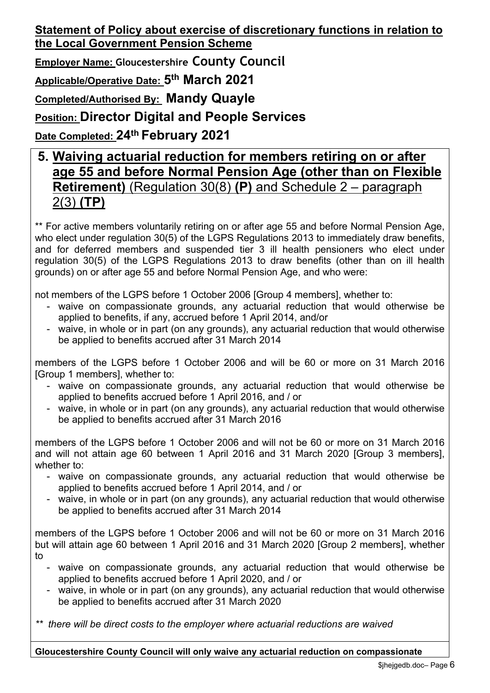**Employer Name: [Gloucestershire](#page-0-0) County Council**

**Applicable/Operative Date: 5 th [March](#page-0-1) 2021**

**Completed/Authorised By: Mandy [Quayle](#page-0-2)**

**Position: Director Digital and People [Services](#page-0-3)**

**Date Completed: 24th [February](#page-0-4) 2021**

#### **5. Waiving actuarial reduction for members retiring on or after age 55 and before Normal Pension Age (other than on Flexible Retirement)** (Regulation 30(8) **(P)** and Schedule 2 – paragraph 2(3) **(TP)**

\*\* For active members voluntarily retiring on or after age 55 and before Normal Pension Age, who elect under regulation 30(5) of the LGPS Regulations 2013 to immediately draw benefits, and for deferred members and suspended tier 3 ill health pensioners who elect under regulation 30(5) of the LGPS Regulations 2013 to draw benefits (other than on ill health grounds) on or after age 55 and before Normal Pension Age, and who were:

not members of the LGPS before 1 October 2006 [Group 4 members], whether to:

- waive on compassionate grounds, any actuarial reduction that would otherwise be applied to benefits, if any, accrued before 1 April 2014, and/or
- waive, in whole or in part (on any grounds), any actuarial reduction that would otherwise be applied to benefits accrued after 31 March 2014

members of the LGPS before 1 October 2006 and will be 60 or more on 31 March 2016 [Group 1 members], whether to:

- waive on compassionate grounds, any actuarial reduction that would otherwise be applied to benefits accrued before 1 April 2016, and / or
- waive, in whole or in part (on any grounds), any actuarial reduction that would otherwise be applied to benefits accrued after 31 March 2016

members of the LGPS before 1 October 2006 and will not be 60 or more on 31 March 2016 and will not attain age 60 between 1 April 2016 and 31 March 2020 [Group 3 members], whether to:

- waive on compassionate grounds, any actuarial reduction that would otherwise be applied to benefits accrued before 1 April 2014, and / or
- waive, in whole or in part (on any grounds), any actuarial reduction that would otherwise be applied to benefits accrued after 31 March 2014

members of the LGPS before 1 October 2006 and will not be 60 or more on 31 March 2016 but will attain age 60 between 1 April 2016 and 31 March 2020 [Group 2 members], whether to

- waive on compassionate grounds, any actuarial reduction that would otherwise be applied to benefits accrued before 1 April 2020, and / or
- waive, in whole or in part (on any grounds), any actuarial reduction that would otherwise be applied to benefits accrued after 31 March 2020

*\*\* there will be direct costs to the employer where actuarial reductions are waived*

**Gloucestershire County Council will only waive any actuarial reduction on compassionate**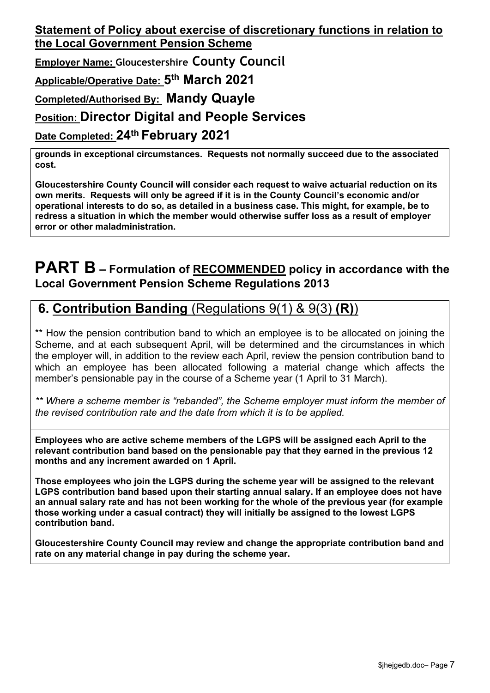**Employer Name: [Gloucestershire](#page-0-0) County Council**

**Applicable/Operative Date: 5 th [March](#page-0-1) 2021**

**Completed/Authorised By: Mandy [Quayle](#page-0-2)**

#### **Position: Director Digital and People [Services](#page-0-3)**

**Date Completed: 24th [February](#page-0-4) 2021**

**grounds in exceptional circumstances. Requests not normally succeed due to the associated cost.**

**Gloucestershire County Council will consider each request to waive actuarial reduction on its own merits. Requests will only be agreed if it is in the County Council's economic and/or operational interests to do so, as detailed in a business case. This might, for example, be to redress a situation in which the member would otherwise suffer loss as a result of employer error or other maladministration.**

#### **PART B – Formulation of RECOMMENDED policy in accordance with the Local Government Pension Scheme Regulations 2013**

#### **6. Contribution Banding** (Regulations 9(1) & 9(3) **(R)**)

\*\* How the pension contribution band to which an employee is to be allocated on joining the Scheme, and at each subsequent April, will be determined and the circumstances in which the employer will, in addition to the review each April, review the pension contribution band to which an employee has been allocated following a material change which affects the member's pensionable pay in the course of a Scheme year (1 April to 31 March).

*\*\* Where a scheme member is "rebanded", the Scheme employer must inform the member of the revised contribution rate and the date from which it is to be applied.*

**Employees who are active scheme members of the LGPS will be assigned each April to the relevant contribution band based on the pensionable pay that they earned in the previous 12 months and any increment awarded on 1 April.**

**Those employees who join the LGPS during the scheme year will be assigned to the relevant LGPS contribution band based upon their starting annual salary. If an employee does not have an annual salary rate and has not been working for the whole of the previous year (for example those working under a casual contract) they will initially be assigned to the lowest LGPS contribution band.** 

**Gloucestershire County Council may review and change the appropriate contribution band and rate on any material change in pay during the scheme year.**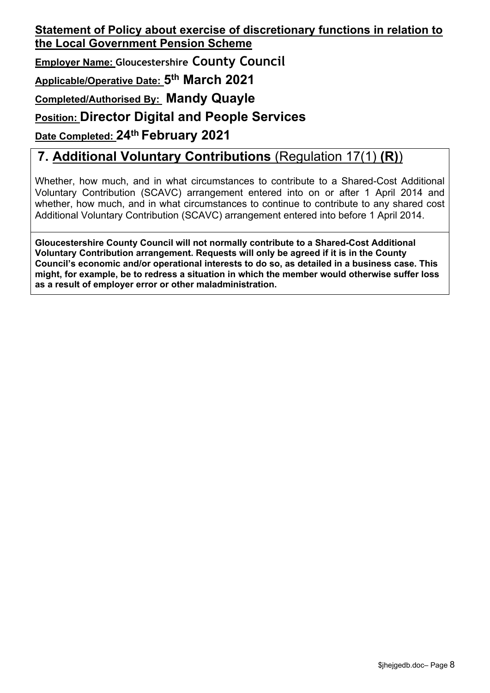**Employer Name: [Gloucestershire](#page-0-0) County Council**

**Applicable/Operative Date: 5 th [March](#page-0-1) 2021**

**Completed/Authorised By: Mandy [Quayle](#page-0-2)**

#### **Position: Director Digital and People [Services](#page-0-3)**

**Date Completed: 24th [February](#page-0-4) 2021**

# **7. Additional Voluntary Contributions** (Regulation 17(1) **(R)**)

Whether, how much, and in what circumstances to contribute to a Shared-Cost Additional Voluntary Contribution (SCAVC) arrangement entered into on or after 1 April 2014 and whether, how much, and in what circumstances to continue to contribute to any shared cost Additional Voluntary Contribution (SCAVC) arrangement entered into before 1 April 2014.

**Gloucestershire County Council will not normally contribute to a Shared-Cost Additional Voluntary Contribution arrangement. Requests will only be agreed if it is in the County Council's economic and/or operational interests to do so, as detailed in a business case. This might, for example, be to redress a situation in which the member would otherwise suffer loss as a result of employer error or other maladministration.**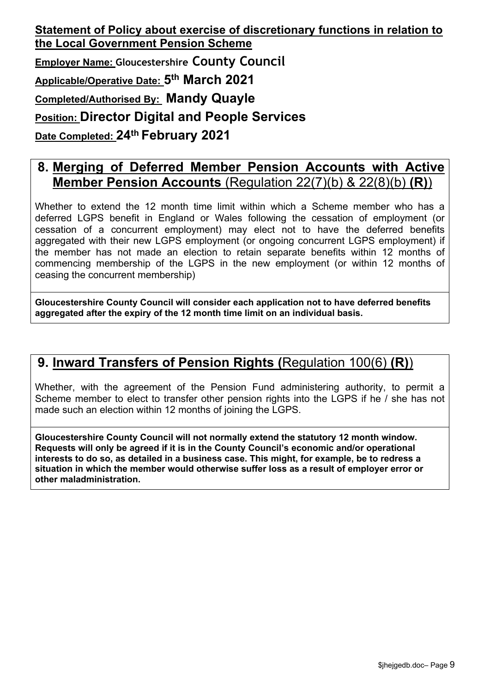#### **8. Merging of Deferred Member Pension Accounts with Active Member Pension Accounts** (Regulation 22(7)(b) & 22(8)(b) **(R)**)

Whether to extend the 12 month time limit within which a Scheme member who has a deferred LGPS benefit in England or Wales following the cessation of employment (or cessation of a concurrent employment) may elect not to have the deferred benefits aggregated with their new LGPS employment (or ongoing concurrent LGPS employment) if the member has not made an election to retain separate benefits within 12 months of commencing membership of the LGPS in the new employment (or within 12 months of ceasing the concurrent membership)

**Gloucestershire County Council will consider each application not to have deferred benefits aggregated after the expiry of the 12 month time limit on an individual basis.** 

#### **9. Inward Transfers of Pension Rights (**Regulation 100(6) **(R)**)

Whether, with the agreement of the Pension Fund administering authority, to permit a Scheme member to elect to transfer other pension rights into the LGPS if he / she has not made such an election within 12 months of joining the LGPS.

**Gloucestershire County Council will not normally extend the statutory 12 month window. Requests will only be agreed if it is in the County Council's economic and/or operational interests to do so, as detailed in a business case. This might, for example, be to redress a situation in which the member would otherwise suffer loss as a result of employer error or other maladministration.**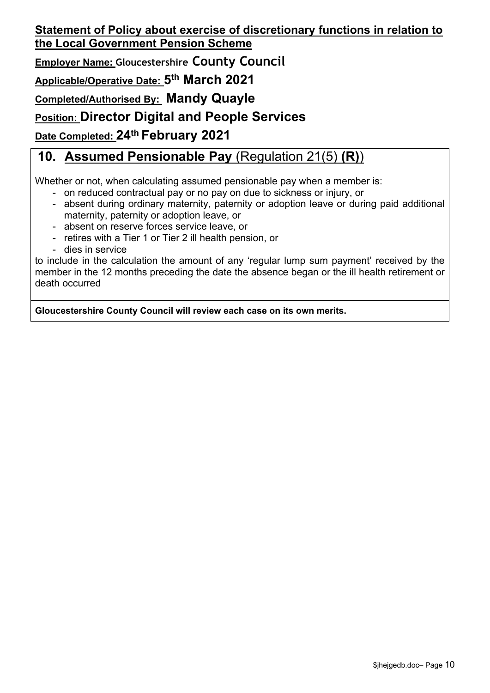**Employer Name: [Gloucestershire](#page-0-0) County Council**

**Applicable/Operative Date: 5 th [March](#page-0-1) 2021**

**Completed/Authorised By: Mandy [Quayle](#page-0-2)**

**Position: Director Digital and People [Services](#page-0-3)**

**Date Completed: 24th [February](#page-0-4) 2021**

# **10. Assumed Pensionable Pay** (Regulation 21(5) **(R)**)

Whether or not, when calculating assumed pensionable pay when a member is:

- on reduced contractual pay or no pay on due to sickness or injury, or
- absent during ordinary maternity, paternity or adoption leave or during paid additional maternity, paternity or adoption leave, or
- absent on reserve forces service leave, or
- retires with a Tier 1 or Tier 2 ill health pension, or
- dies in service

to include in the calculation the amount of any 'regular lump sum payment' received by the member in the 12 months preceding the date the absence began or the ill health retirement or death occurred

**Gloucestershire County Council will review each case on its own merits.**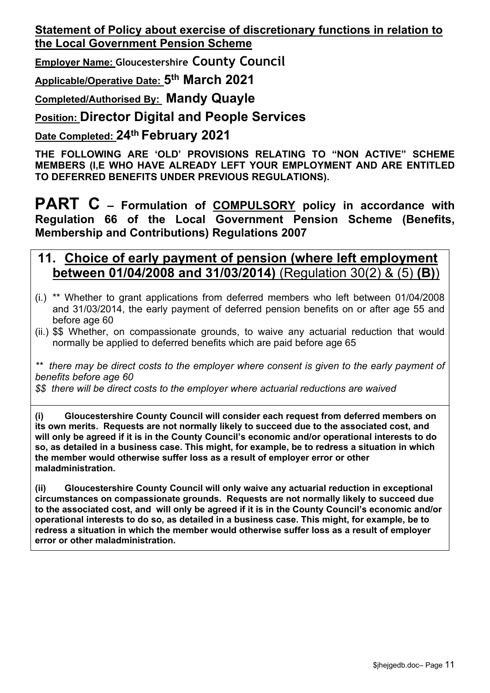**Employer Name: [Gloucestershire](#page-0-0) County Council**

**Applicable/Operative Date: 5 th [March](#page-0-1) 2021**

**Completed/Authorised By: Mandy [Quayle](#page-0-2)**

**Position: Director Digital and People [Services](#page-0-3)**

#### **Date Completed: 24th [February](#page-0-4) 2021**

**THE FOLLOWING ARE 'OLD' PROVISIONS RELATING TO "NON ACTIVE" SCHEME MEMBERS (I,E WHO HAVE ALREADY LEFT YOUR EMPLOYMENT AND ARE ENTITLED TO DEFERRED BENEFITS UNDER PREVIOUS REGULATIONS).**

**PART C – Formulation of COMPULSORY policy in accordance with Regulation 66 of the Local Government Pension Scheme (Benefits, Membership and Contributions) Regulations 2007**

#### **11. Choice of early payment of pension (where left employment between 01/04/2008 and 31/03/2014)** (Regulation 30(2) & (5) **(B)**)

- (i.) \*\* Whether to grant applications from deferred members who left between 01/04/2008 and 31/03/2014, the early payment of deferred pension benefits on or after age 55 and before age 60
- (ii.) \$\$ Whether, on compassionate grounds, to waive any actuarial reduction that would normally be applied to deferred benefits which are paid before age 65

*\*\* there may be direct costs to the employer where consent is given to the early payment of benefits before age 60*

*\$\$ there will be direct costs to the employer where actuarial reductions are waived*

**(i) Gloucestershire County Council will consider each request from deferred members on its own merits. Requests are not normally likely to succeed due to the associated cost, and will only be agreed if it is in the County Council's economic and/or operational interests to do so, as detailed in a business case. This might, for example, be to redress a situation in which the member would otherwise suffer loss as a result of employer error or other maladministration.** 

**(ii) Gloucestershire County Council will only waive any actuarial reduction in exceptional circumstances on compassionate grounds. Requests are not normally likely to succeed due to the associated cost, and will only be agreed if it is in the County Council's economic and/or operational interests to do so, as detailed in a business case. This might, for example, be to redress a situation in which the member would otherwise suffer loss as a result of employer error or other maladministration.**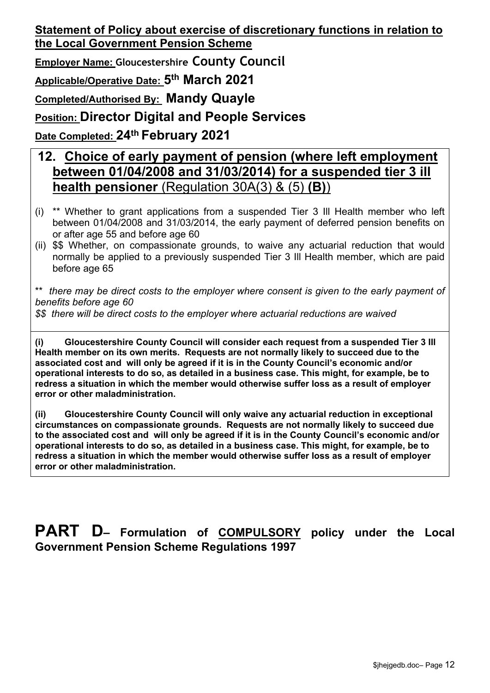**Employer Name: [Gloucestershire](#page-0-0) County Council**

**Applicable/Operative Date: 5 th [March](#page-0-1) 2021**

**Completed/Authorised By: Mandy [Quayle](#page-0-2)**

**Position: Director Digital and People [Services](#page-0-3)**

**Date Completed: 24th [February](#page-0-4) 2021**

#### **12. Choice of early payment of pension (where left employment between 01/04/2008 and 31/03/2014) for a suspended tier 3 ill health pensioner** (Regulation 30A(3) & (5) **(B)**)

- (i) \*\* Whether to grant applications from a suspended Tier 3 Ill Health member who left between 01/04/2008 and 31/03/2014, the early payment of deferred pension benefits on or after age 55 and before age 60
- (ii) \$\$ Whether, on compassionate grounds, to waive any actuarial reduction that would normally be applied to a previously suspended Tier 3 Ill Health member, which are paid before age 65

\*\* *there may be direct costs to the employer where consent is given to the early payment of benefits before age 60*

*\$\$ there will be direct costs to the employer where actuarial reductions are waived*

**(i) Gloucestershire County Council will consider each request from a suspended Tier 3 Ill Health member on its own merits. Requests are not normally likely to succeed due to the associated cost and will only be agreed if it is in the County Council's economic and/or operational interests to do so, as detailed in a business case. This might, for example, be to redress a situation in which the member would otherwise suffer loss as a result of employer error or other maladministration.** 

**(ii) Gloucestershire County Council will only waive any actuarial reduction in exceptional circumstances on compassionate grounds. Requests are not normally likely to succeed due to the associated cost and will only be agreed if it is in the County Council's economic and/or operational interests to do so, as detailed in a business case. This might, for example, be to redress a situation in which the member would otherwise suffer loss as a result of employer error or other maladministration.** 

#### **PART D– Formulation of COMPULSORY policy under the Local Government Pension Scheme Regulations 1997**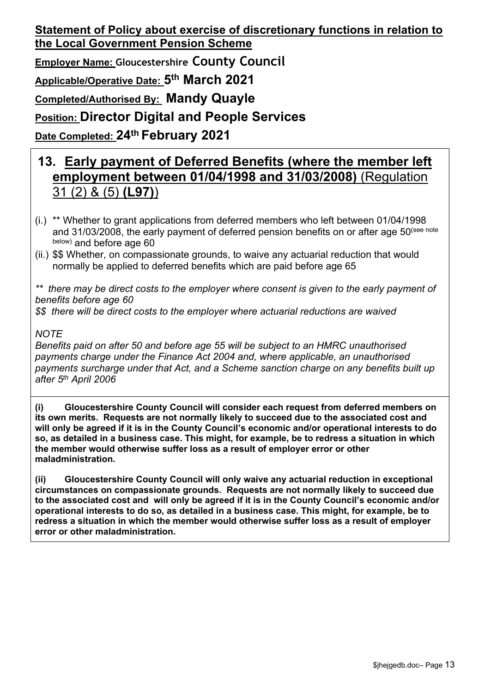**Employer Name: [Gloucestershire](#page-0-0) County Council Applicable/Operative Date: 5 th [March](#page-0-1) 2021**

**Completed/Authorised By: Mandy [Quayle](#page-0-2)**

**Position: Director Digital and People [Services](#page-0-3)**

**Date Completed: 24th [February](#page-0-4) 2021**

# **13. Early payment of Deferred Benefits (where the member left employment between 01/04/1998 and 31/03/2008)** (Regulation 31 (2) & (5) **(L97)**)

- (i.) \*\* Whether to grant applications from deferred members who left between 01/04/1998 and 31/03/2008, the early payment of deferred pension benefits on or after age 50<sup>(see note</sup> below) and before age 60
- (ii.) \$\$ Whether, on compassionate grounds, to waive any actuarial reduction that would normally be applied to deferred benefits which are paid before age 65

*\*\* there may be direct costs to the employer where consent is given to the early payment of benefits before age 60*

*\$\$ there will be direct costs to the employer where actuarial reductions are waived*

#### *NOTE*

*Benefits paid on after 50 and before age 55 will be subject to an HMRC unauthorised payments charge under the Finance Act 2004 and, where applicable, an unauthorised payments surcharge under that Act, and a Scheme sanction charge on any benefits built up after 5 th April 2006*

**(i) Gloucestershire County Council will consider each request from deferred members on its own merits. Requests are not normally likely to succeed due to the associated cost and will only be agreed if it is in the County Council's economic and/or operational interests to do so, as detailed in a business case. This might, for example, be to redress a situation in which the member would otherwise suffer loss as a result of employer error or other maladministration.** 

**(ii) Gloucestershire County Council will only waive any actuarial reduction in exceptional circumstances on compassionate grounds. Requests are not normally likely to succeed due to the associated cost and will only be agreed if it is in the County Council's economic and/or operational interests to do so, as detailed in a business case. This might, for example, be to redress a situation in which the member would otherwise suffer loss as a result of employer error or other maladministration.**